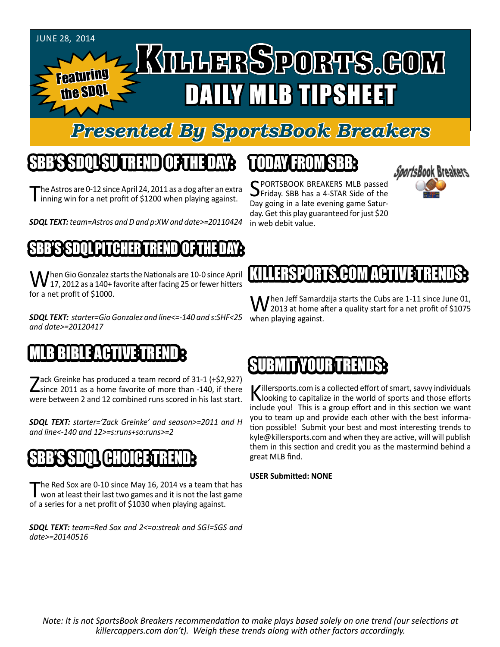#### JUNE 28, 2014

Featuring the SDQ

# KTLLERSPORTS.GOM DAILY MLB TIPSHEET

#### *Presented By SportsBook Breakers*

#### SBB'S SDQL SU TREND OF THE DAY:

The Astros are 0-12 since April 24, 2011 as a dog after an extra<br>inning win for a net profit of \$1200 when playing against.

*SDQL TEXT: team=Astros and D and p:XW and date>=20110424*

#### S**BSB**SSOL PITCHER TREND OF THE DAY:

 $\int$ hen Gio Gonzalez starts the Nationals are 10-0 since April 17, 2012 as a 140+ favorite after facing 25 or fewer hitters for a net profit of \$1000.

*SDQL TEXT: starter=Gio Gonzalez and line<=-140 and s:SHF<25 and date>=20120417*

### MLB BIBLE ACTIVE TRENDE

Zack Greinke has produced a team record of 31-1 (+\$2,927)<br>
Since 2011 as a home favorite of more than -140, if there were between 2 and 12 combined runs scored in his last start.

*SDQL TEXT: starter='Zack Greinke' and season>=2011 and H and line<-140 and 12>=s:runs+so:runs>=2*

### SBB'S SDQL CHOICE TREND

The Red Sox are 0-10 since May 16, 2014 vs a team that has<br>won at least their last two games and it is not the last game of a series for a net profit of \$1030 when playing against.

*SDQL TEXT: team=Red Sox and 2<=o:streak and SG!=SGS and date>=20140516*

#### TODAY HAOMSBB

SPORTSBOOK BREAKERS MLB passed<br>Seriday. SBB has a 4-STAR Side of the Day going in a late evening game Saturday. Get this play guaranteed for just \$20 in web debit value.



#### KILLERSPORTS FORMACHIVET

 $\mathbf{M}$  hen Jeff Samardzija starts the Cubs are 1-11 since June 01, 2013 at home after a quality start for a net profit of \$1075 when playing against.

#### **SUBMIT YOUR TREI**

Killersports.com is a collected effort of smart, savvy individuals<br>Nooking to capitalize in the world of sports and those efforts include you! This is a group effort and in this section we want you to team up and provide each other with the best information possible! Submit your best and most interesting trends to kyle@killersports.com and when they are active, will will publish them in this section and credit you as the mastermind behind a great MLB find.

**USER Submitted: NONE**